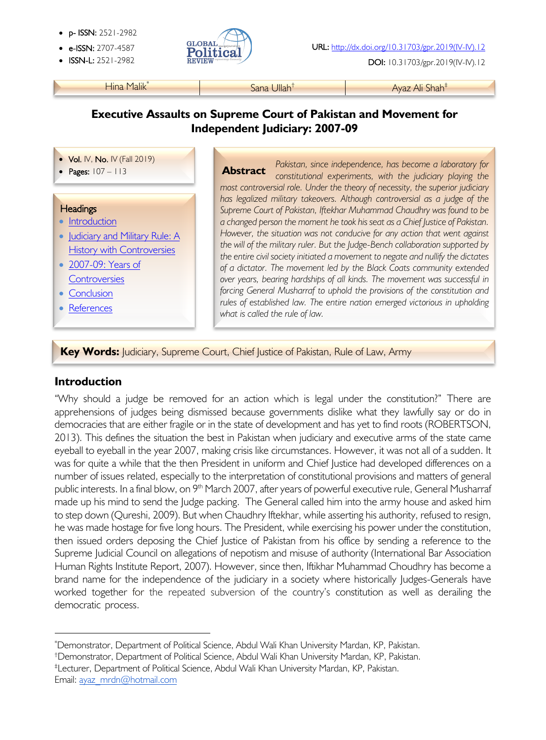- p- ISSN: 2521-2982
- 
- 



• ISSN-L: 2521-2982 DOI: 10.31703/gpr.2019(IV-IV).12

Hina Malik<sup>\*</sup> Nama Ayaz Ali Shah<sup>‡</sup> Ayaz Ali Shah<sup>‡</sup>

# **Executive Assaults on Supreme Court of Pakistan and Movement for Independent Judiciary: 2007-09**

- Vol. IV, No. IV (Fall 2019)
- Pages: 107 113

### **Headings**

į

- Introduction
- Judiciary and Military Rule: A History with Controversies
- 2007-09: Years of **Controversies**
- Conclusion
- **References**

*Pakistan, since independence, has become a laboratory for constitutional experiments, with the judiciary playing the most controversial role. Under the theory of necessity, the superior judiciary has legalized military takeovers. Although controversial as a judge of the Supreme Court of Pakistan, Iftekhar Muhammad Chaudhry was found to be a changed person the moment he took his seat as a Chief Justice of Pakistan. However, the situation was not conducive for any action that went against the will of the military ruler. But the Judge-Bench collaboration supported by the entire civil society initiated a movement to negate and nullify the dictates of a dictator. The movement led by the Black Coats community extended over years, bearing hardships of all kinds. The movement was successful in forcing General Musharraf to uphold the provisions of the constitution and rules of established law. The entire nation emerged victorious in upholding what is called the rule of law.* **Abstract**

**Key Words:** Judiciary, Supreme Court, Chief Justice of Pakistan, Rule of Law, Army

## **Introduction**

"Why should a judge be removed for an action which is legal under the constitution?" There are apprehensions of judges being dismissed because governments dislike what they lawfully say or do in democracies that are either fragile or in the state of development and has yet to find roots (ROBERTSON, 2013). This defines the situation the best in Pakistan when judiciary and executive arms of the state came eyeball to eyeball in the year 2007, making crisis like circumstances. However, it was not all of a sudden. It was for quite a while that the then President in uniform and Chief Justice had developed differences on a number of issues related, especially to the interpretation of constitutional provisions and matters of general public interests. In a final blow, on 9<sup>th</sup> March 2007, after years of powerful executive rule, General Musharraf made up his mind to send the Judge packing. The General called him into the army house and asked him to step down (Qureshi, 2009). But when Chaudhry Iftekhar, while asserting his authority, refused to resign, he was made hostage for five long hours. The President, while exercising his power under the constitution, then issued orders deposing the Chief Justice of Pakistan from his office by sending a reference to the Supreme Judicial Council on allegations of nepotism and misuse of authority (International Bar Association Human Rights Institute Report, 2007). However, since then, Iftikhar Muhammad Choudhry has become a brand name for the independence of the judiciary in a society where historically Judges-Generals have worked together for the repeated subversion of the country's constitution as well as derailing the democratic process.

Email: ayaz\_mrdn@hotmail.com

<sup>\*</sup> Demonstrator, Department of Political Science, Abdul Wali Khan University Mardan, KP, Pakistan.

<sup>†</sup> Demonstrator, Department of Political Science, Abdul Wali Khan University Mardan, KP, Pakistan.

<sup>‡</sup> Lecturer, Department of Political Science, Abdul Wali Khan University Mardan, KP, Pakistan.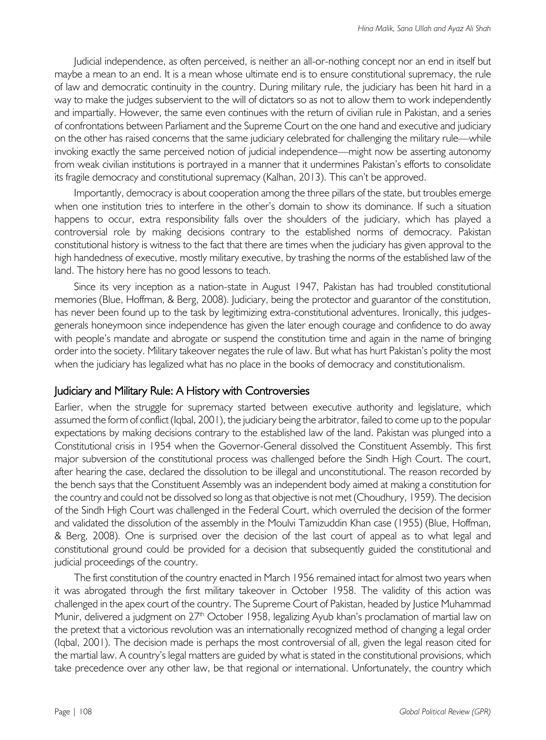Judicial independence, as often perceived, is neither an all-or-nothing concept nor an end in itself but maybe a mean to an end. It is a mean whose ultimate end is to ensure constitutional supremacy, the rule of law and democratic continuity in the country. During military rule, the judiciary has been hit hard in a way to make the judges subservient to the will of dictators so as not to allow them to work independently and impartially. However, the same even continues with the return of civilian rule in Pakistan, and a series of confrontations between Parliament and the Supreme Court on the one hand and executive and judiciary on the other has raised concerns that the same judiciary celebrated for challenging the military rule—while invoking exactly the same perceived notion of judicial independence—might now be asserting autonomy from weak civilian institutions is portrayed in a manner that it undermines Pakistan's efforts to consolidate its fragile democracy and constitutional supremacy (Kalhan, 2013). This can't be approved.

Importantly, democracy is about cooperation among the three pillars of the state, but troubles emerge when one institution tries to interfere in the other's domain to show its dominance. If such a situation happens to occur, extra responsibility falls over the shoulders of the judiciary, which has played a controversial role by making decisions contrary to the established norms of democracy. Pakistan constitutional history is witness to the fact that there are times when the judiciary has given approval to the high handedness of executive, mostly military executive, by trashing the norms of the established law of the land. The history here has no good lessons to teach.

Since its very inception as a nation-state in August 1947, Pakistan has had troubled constitutional memories (Blue, Hoffman, & Berg, 2008). Judiciary, being the protector and guarantor of the constitution, has never been found up to the task by legitimizing extra-constitutional adventures. Ironically, this judgesgenerals honeymoon since independence has given the later enough courage and confidence to do away with people's mandate and abrogate or suspend the constitution time and again in the name of bringing order into the society. Military takeover negates the rule of law. But what has hurt Pakistan's polity the most when the judiciary has legalized what has no place in the books of democracy and constitutionalism.

#### Judiciary and Military Rule: A History with Controversies

Earlier, when the struggle for supremacy started between executive authority and legislature, which assumed the form of conflict (Iqbal, 2001), the judiciary being the arbitrator, failed to come up to the popular expectations by making decisions contrary to the established law of the land. Pakistan was plunged into a Constitutional crisis in 1954 when the Governor-General dissolved the Constituent Assembly. This first major subversion of the constitutional process was challenged before the Sindh High Court. The court, after hearing the case, declared the dissolution to be illegal and unconstitutional. The reason recorded by the bench says that the Constituent Assembly was an independent body aimed at making a constitution for the country and could not be dissolved so long as that objective is not met (Choudhury, 1959). The decision of the Sindh High Court was challenged in the Federal Court, which overruled the decision of the former and validated the dissolution of the assembly in the Moulvi Tamizuddin Khan case (1955) (Blue, Hoffman, & Berg, 2008). One is surprised over the decision of the last court of appeal as to what legal and constitutional ground could be provided for a decision that subsequently guided the constitutional and judicial proceedings of the country.

The first constitution of the country enacted in March 1956 remained intact for almost two years when it was abrogated through the first military takeover in October 1958. The validity of this action was challenged in the apex court of the country. The Supreme Court of Pakistan, headed by Justice Muhammad Munir, delivered a judgment on 27<sup>th</sup> October 1958, legalizing Ayub khan's proclamation of martial law on the pretext that a victorious revolution was an internationally recognized method of changing a legal order (Iqbal, 2001). The decision made is perhaps the most controversial of all, given the legal reason cited for the martial law. A country's legal matters are guided by what is stated in the constitutional provisions, which take precedence over any other law, be that regional or international. Unfortunately, the country which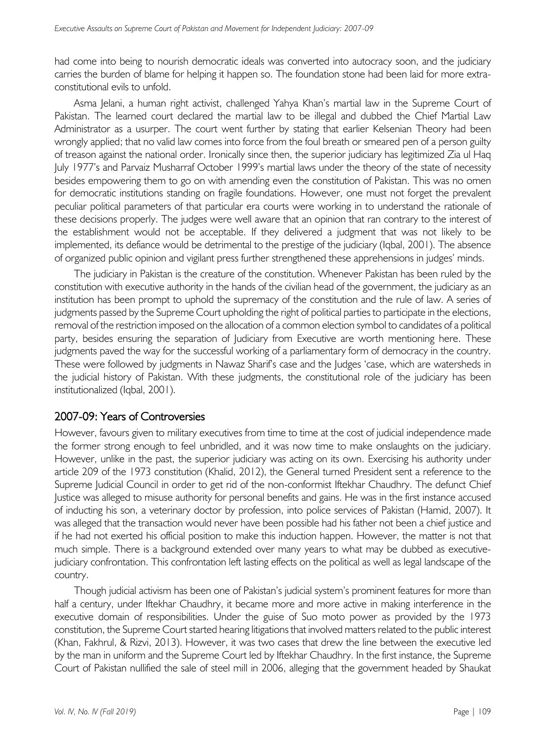had come into being to nourish democratic ideals was converted into autocracy soon, and the judiciary carries the burden of blame for helping it happen so. The foundation stone had been laid for more extraconstitutional evils to unfold.

Asma Jelani, a human right activist, challenged Yahya Khan's martial law in the Supreme Court of Pakistan. The learned court declared the martial law to be illegal and dubbed the Chief Martial Law Administrator as a usurper. The court went further by stating that earlier Kelsenian Theory had been wrongly applied; that no valid law comes into force from the foul breath or smeared pen of a person guilty of treason against the national order. Ironically since then, the superior judiciary has legitimized Zia ul Haq July 1977's and Parvaiz Musharraf October 1999's martial laws under the theory of the state of necessity besides empowering them to go on with amending even the constitution of Pakistan. This was no omen for democratic institutions standing on fragile foundations. However, one must not forget the prevalent peculiar political parameters of that particular era courts were working in to understand the rationale of these decisions properly. The judges were well aware that an opinion that ran contrary to the interest of the establishment would not be acceptable. If they delivered a judgment that was not likely to be implemented, its defiance would be detrimental to the prestige of the judiciary (Iqbal, 2001). The absence of organized public opinion and vigilant press further strengthened these apprehensions in judges' minds.

The judiciary in Pakistan is the creature of the constitution. Whenever Pakistan has been ruled by the constitution with executive authority in the hands of the civilian head of the government, the judiciary as an institution has been prompt to uphold the supremacy of the constitution and the rule of law. A series of judgments passed by the Supreme Court upholding the right of political parties to participate in the elections, removal of the restriction imposed on the allocation of a common election symbol to candidates of a political party, besides ensuring the separation of Judiciary from Executive are worth mentioning here. These judgments paved the way for the successful working of a parliamentary form of democracy in the country. These were followed by judgments in Nawaz Sharif's case and the Judges 'case, which are watersheds in the judicial history of Pakistan. With these judgments, the constitutional role of the judiciary has been institutionalized (Iqbal, 2001).

### 2007-09: Years of Controversies

However, favours given to military executives from time to time at the cost of judicial independence made the former strong enough to feel unbridled, and it was now time to make onslaughts on the judiciary. However, unlike in the past, the superior judiciary was acting on its own. Exercising his authority under article 209 of the 1973 constitution (Khalid, 2012), the General turned President sent a reference to the Supreme Judicial Council in order to get rid of the non-conformist Iftekhar Chaudhry. The defunct Chief Justice was alleged to misuse authority for personal benefits and gains. He was in the first instance accused of inducting his son, a veterinary doctor by profession, into police services of Pakistan (Hamid, 2007). It was alleged that the transaction would never have been possible had his father not been a chief justice and if he had not exerted his official position to make this induction happen. However, the matter is not that much simple. There is a background extended over many years to what may be dubbed as executivejudiciary confrontation. This confrontation left lasting effects on the political as well as legal landscape of the country.

Though judicial activism has been one of Pakistan's judicial system's prominent features for more than half a century, under Iftekhar Chaudhry, it became more and more active in making interference in the executive domain of responsibilities. Under the guise of Suo moto power as provided by the 1973 constitution, the Supreme Court started hearing litigations that involved matters related to the public interest (Khan, Fakhrul, & Rizvi, 2013). However, it was two cases that drew the line between the executive led by the man in uniform and the Supreme Court led by Iftekhar Chaudhry. In the first instance, the Supreme Court of Pakistan nullified the sale of steel mill in 2006, alleging that the government headed by Shaukat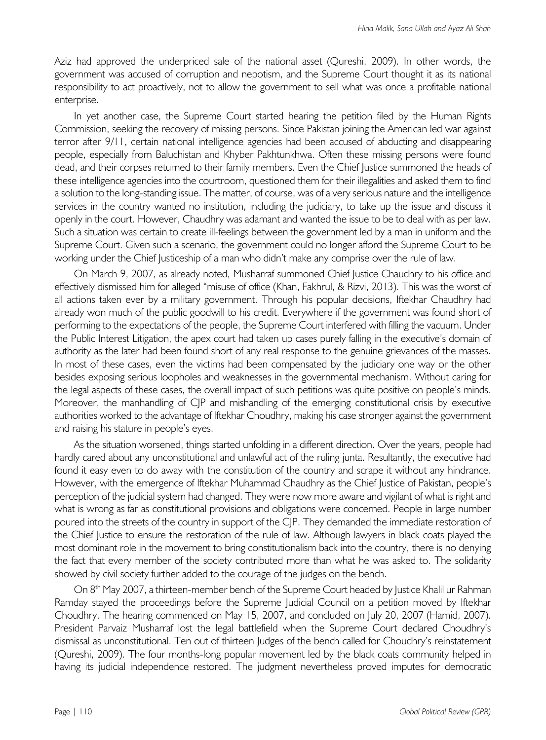Aziz had approved the underpriced sale of the national asset (Qureshi, 2009). In other words, the government was accused of corruption and nepotism, and the Supreme Court thought it as its national responsibility to act proactively, not to allow the government to sell what was once a profitable national enterprise.

In yet another case, the Supreme Court started hearing the petition filed by the Human Rights Commission, seeking the recovery of missing persons. Since Pakistan joining the American led war against terror after 9/11, certain national intelligence agencies had been accused of abducting and disappearing people, especially from Baluchistan and Khyber Pakhtunkhwa. Often these missing persons were found dead, and their corpses returned to their family members. Even the Chief Justice summoned the heads of these intelligence agencies into the courtroom, questioned them for their illegalities and asked them to find a solution to the long-standing issue. The matter, of course, was of a very serious nature and the intelligence services in the country wanted no institution, including the judiciary, to take up the issue and discuss it openly in the court. However, Chaudhry was adamant and wanted the issue to be to deal with as per law. Such a situation was certain to create ill-feelings between the government led by a man in uniform and the Supreme Court. Given such a scenario, the government could no longer afford the Supreme Court to be working under the Chief Justiceship of a man who didn't make any comprise over the rule of law.

On March 9, 2007, as already noted, Musharraf summoned Chief Justice Chaudhry to his office and effectively dismissed him for alleged "misuse of office (Khan, Fakhrul, & Rizvi, 2013). This was the worst of all actions taken ever by a military government. Through his popular decisions, Iftekhar Chaudhry had already won much of the public goodwill to his credit. Everywhere if the government was found short of performing to the expectations of the people, the Supreme Court interfered with filling the vacuum. Under the Public Interest Litigation, the apex court had taken up cases purely falling in the executive's domain of authority as the later had been found short of any real response to the genuine grievances of the masses. In most of these cases, even the victims had been compensated by the judiciary one way or the other besides exposing serious loopholes and weaknesses in the governmental mechanism. Without caring for the legal aspects of these cases, the overall impact of such petitions was quite positive on people's minds. Moreover, the manhandling of C|P and mishandling of the emerging constitutional crisis by executive authorities worked to the advantage of Iftekhar Choudhry, making his case stronger against the government and raising his stature in people's eyes.

As the situation worsened, things started unfolding in a different direction. Over the years, people had hardly cared about any unconstitutional and unlawful act of the ruling junta. Resultantly, the executive had found it easy even to do away with the constitution of the country and scrape it without any hindrance. However, with the emergence of Iftekhar Muhammad Chaudhry as the Chief Justice of Pakistan, people's perception of the judicial system had changed. They were now more aware and vigilant of what is right and what is wrong as far as constitutional provisions and obligations were concerned. People in large number poured into the streets of the country in support of the CJP. They demanded the immediate restoration of the Chief Justice to ensure the restoration of the rule of law. Although lawyers in black coats played the most dominant role in the movement to bring constitutionalism back into the country, there is no denying the fact that every member of the society contributed more than what he was asked to. The solidarity showed by civil society further added to the courage of the judges on the bench.

On 8<sup>th</sup> May 2007, a thirteen-member bench of the Supreme Court headed by Justice Khalil ur Rahman Ramday stayed the proceedings before the Supreme Judicial Council on a petition moved by Iftekhar Choudhry. The hearing commenced on May 15, 2007, and concluded on July 20, 2007 (Hamid, 2007). President Parvaiz Musharraf lost the legal battlefield when the Supreme Court declared Choudhry's dismissal as unconstitutional. Ten out of thirteen Judges of the bench called for Choudhry's reinstatement (Qureshi, 2009). The four months-long popular movement led by the black coats community helped in having its judicial independence restored. The judgment nevertheless proved imputes for democratic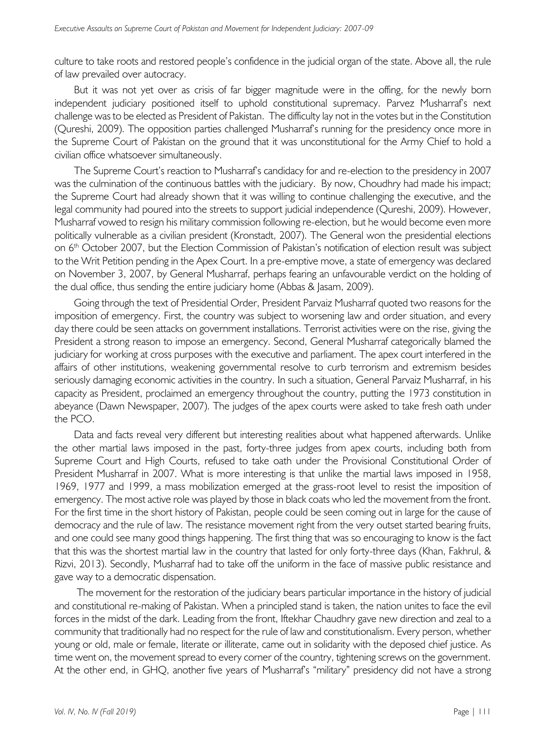culture to take roots and restored people's confidence in the judicial organ of the state. Above all, the rule of law prevailed over autocracy.

But it was not yet over as crisis of far bigger magnitude were in the offing, for the newly born independent judiciary positioned itself to uphold constitutional supremacy. Parvez Musharraf's next challenge was to be elected as President of Pakistan. The difficulty lay not in the votes but in the Constitution (Qureshi, 2009). The opposition parties challenged Musharraf's running for the presidency once more in the Supreme Court of Pakistan on the ground that it was unconstitutional for the Army Chief to hold a civilian office whatsoever simultaneously.

The Supreme Court's reaction to Musharraf's candidacy for and re-election to the presidency in 2007 was the culmination of the continuous battles with the judiciary. By now, Choudhry had made his impact; the Supreme Court had already shown that it was willing to continue challenging the executive, and the legal community had poured into the streets to support judicial independence (Qureshi, 2009). However, Musharraf vowed to resign his military commission following re-election, but he would become even more politically vulnerable as a civilian president (Kronstadt, 2007). The General won the presidential elections on 6<sup>th</sup> October 2007, but the Election Commission of Pakistan's notification of election result was subject to the Writ Petition pending in the Apex Court. In a pre-emptive move, a state of emergency was declared on November 3, 2007, by General Musharraf, perhaps fearing an unfavourable verdict on the holding of the dual office, thus sending the entire judiciary home (Abbas & Jasam, 2009).

Going through the text of Presidential Order, President Parvaiz Musharraf quoted two reasons for the imposition of emergency. First, the country was subject to worsening law and order situation, and every day there could be seen attacks on government installations. Terrorist activities were on the rise, giving the President a strong reason to impose an emergency. Second, General Musharraf categorically blamed the judiciary for working at cross purposes with the executive and parliament. The apex court interfered in the affairs of other institutions, weakening governmental resolve to curb terrorism and extremism besides seriously damaging economic activities in the country. In such a situation, General Parvaiz Musharraf, in his capacity as President, proclaimed an emergency throughout the country, putting the 1973 constitution in abeyance (Dawn Newspaper, 2007). The judges of the apex courts were asked to take fresh oath under the PCO.

Data and facts reveal very different but interesting realities about what happened afterwards. Unlike the other martial laws imposed in the past, forty-three judges from apex courts, including both from Supreme Court and High Courts, refused to take oath under the Provisional Constitutional Order of President Musharraf in 2007. What is more interesting is that unlike the martial laws imposed in 1958, 1969, 1977 and 1999, a mass mobilization emerged at the grass-root level to resist the imposition of emergency. The most active role was played by those in black coats who led the movement from the front. For the first time in the short history of Pakistan, people could be seen coming out in large for the cause of democracy and the rule of law. The resistance movement right from the very outset started bearing fruits, and one could see many good things happening. The first thing that was so encouraging to know is the fact that this was the shortest martial law in the country that lasted for only forty-three days (Khan, Fakhrul, & Rizvi, 2013). Secondly, Musharraf had to take off the uniform in the face of massive public resistance and gave way to a democratic dispensation.

The movement for the restoration of the judiciary bears particular importance in the history of judicial and constitutional re-making of Pakistan. When a principled stand is taken, the nation unites to face the evil forces in the midst of the dark. Leading from the front, Iftekhar Chaudhry gave new direction and zeal to a community that traditionally had no respect for the rule of law and constitutionalism. Every person, whether young or old, male or female, literate or illiterate, came out in solidarity with the deposed chief justice. As time went on, the movement spread to every corner of the country, tightening screws on the government. At the other end, in GHQ, another five years of Musharraf's "military" presidency did not have a strong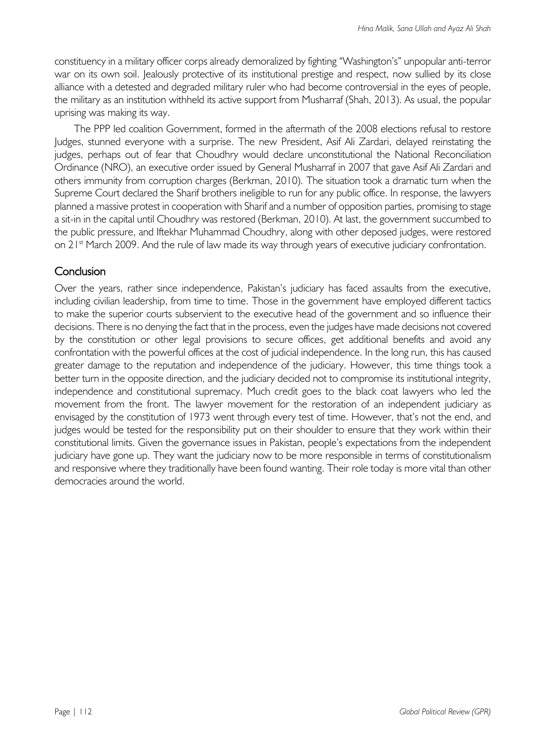constituency in a military officer corps already demoralized by fighting "Washington's" unpopular anti-terror war on its own soil. Jealously protective of its institutional prestige and respect, now sullied by its close alliance with a detested and degraded military ruler who had become controversial in the eyes of people, the military as an institution withheld its active support from Musharraf (Shah, 2013). As usual, the popular uprising was making its way.

The PPP led coalition Government, formed in the aftermath of the 2008 elections refusal to restore Judges, stunned everyone with a surprise. The new President, Asif Ali Zardari, delayed reinstating the judges, perhaps out of fear that Choudhry would declare unconstitutional the National Reconciliation Ordinance (NRO), an executive order issued by General Musharraf in 2007 that gave Asif Ali Zardari and others immunity from corruption charges (Berkman, 2010). The situation took a dramatic turn when the Supreme Court declared the Sharif brothers ineligible to run for any public office. In response, the lawyers planned a massive protest in cooperation with Sharif and a number of opposition parties, promising to stage a sit-in in the capital until Choudhry was restored (Berkman, 2010). At last, the government succumbed to the public pressure, and Iftekhar Muhammad Choudhry, along with other deposed judges, were restored on  $21<sup>st</sup>$  March 2009. And the rule of law made its way through years of executive judiciary confrontation.

## Conclusion

Over the years, rather since independence, Pakistan's judiciary has faced assaults from the executive, including civilian leadership, from time to time. Those in the government have employed different tactics to make the superior courts subservient to the executive head of the government and so influence their decisions. There is no denying the fact that in the process, even the judges have made decisions not covered by the constitution or other legal provisions to secure offices, get additional benefits and avoid any confrontation with the powerful offices at the cost of judicial independence. In the long run, this has caused greater damage to the reputation and independence of the judiciary. However, this time things took a better turn in the opposite direction, and the judiciary decided not to compromise its institutional integrity, independence and constitutional supremacy. Much credit goes to the black coat lawyers who led the movement from the front. The lawyer movement for the restoration of an independent judiciary as envisaged by the constitution of 1973 went through every test of time. However, that's not the end, and judges would be tested for the responsibility put on their shoulder to ensure that they work within their constitutional limits. Given the governance issues in Pakistan, people's expectations from the independent judiciary have gone up. They want the judiciary now to be more responsible in terms of constitutionalism and responsive where they traditionally have been found wanting. Their role today is more vital than other democracies around the world.